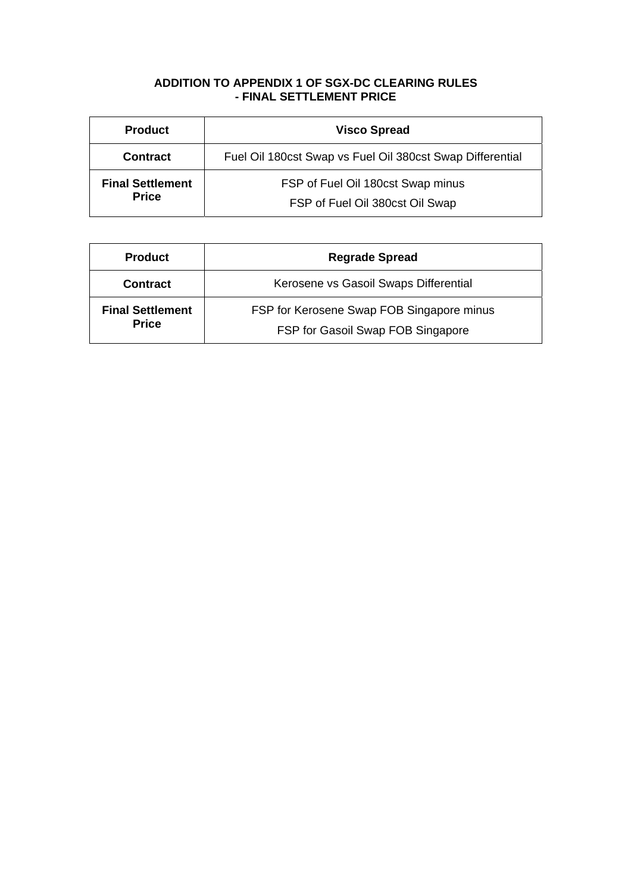# **ADDITION TO APPENDIX 1 OF SGX-DC CLEARING RULES - FINAL SETTLEMENT PRICE**

| <b>Product</b>                          | <b>Visco Spread</b>                                                  |  |
|-----------------------------------------|----------------------------------------------------------------------|--|
| <b>Contract</b>                         | Fuel Oil 180cst Swap vs Fuel Oil 380cst Swap Differential            |  |
| <b>Final Settlement</b><br><b>Price</b> | FSP of Fuel Oil 180cst Swap minus<br>FSP of Fuel Oil 380cst Oil Swap |  |

| <b>Product</b>                          | <b>Regrade Spread</b>                     |  |
|-----------------------------------------|-------------------------------------------|--|
| <b>Contract</b>                         | Kerosene vs Gasoil Swaps Differential     |  |
| <b>Final Settlement</b><br><b>Price</b> | FSP for Kerosene Swap FOB Singapore minus |  |
|                                         | FSP for Gasoil Swap FOB Singapore         |  |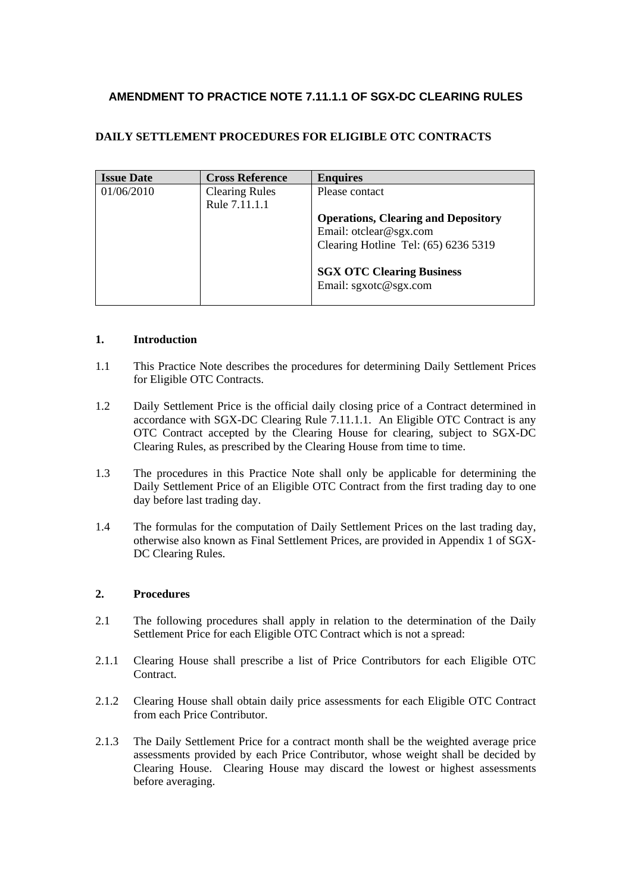# **AMENDMENT TO PRACTICE NOTE 7.11.1.1 OF SGX-DC CLEARING RULES**

## **DAILY SETTLEMENT PROCEDURES FOR ELIGIBLE OTC CONTRACTS**

| <b>Issue Date</b> | <b>Cross Reference</b> | <b>Enquires</b>                            |
|-------------------|------------------------|--------------------------------------------|
| 01/06/2010        | <b>Clearing Rules</b>  | Please contact                             |
|                   | Rule 7.11.1.1          |                                            |
|                   |                        | <b>Operations, Clearing and Depository</b> |
|                   |                        | Email: otclear@sgx.com                     |
|                   |                        | Clearing Hotline Tel: (65) 6236 5319       |
|                   |                        |                                            |
|                   |                        | <b>SGX OTC Clearing Business</b>           |
|                   |                        | Email: sgxotc@sgx.com                      |
|                   |                        |                                            |

### **1. Introduction**

- 1.1 This Practice Note describes the procedures for determining Daily Settlement Prices for Eligible OTC Contracts.
- 1.2 Daily Settlement Price is the official daily closing price of a Contract determined in accordance with SGX-DC Clearing Rule 7.11.1.1. An Eligible OTC Contract is any OTC Contract accepted by the Clearing House for clearing, subject to SGX-DC Clearing Rules, as prescribed by the Clearing House from time to time.
- 1.3 The procedures in this Practice Note shall only be applicable for determining the Daily Settlement Price of an Eligible OTC Contract from the first trading day to one day before last trading day.
- 1.4 The formulas for the computation of Daily Settlement Prices on the last trading day, otherwise also known as Final Settlement Prices, are provided in Appendix 1 of SGX-DC Clearing Rules.

## **2. Procedures**

- 2.1 The following procedures shall apply in relation to the determination of the Daily Settlement Price for each Eligible OTC Contract which is not a spread:
- 2.1.1 Clearing House shall prescribe a list of Price Contributors for each Eligible OTC Contract.
- 2.1.2 Clearing House shall obtain daily price assessments for each Eligible OTC Contract from each Price Contributor.
- 2.1.3 The Daily Settlement Price for a contract month shall be the weighted average price assessments provided by each Price Contributor, whose weight shall be decided by Clearing House. Clearing House may discard the lowest or highest assessments before averaging.